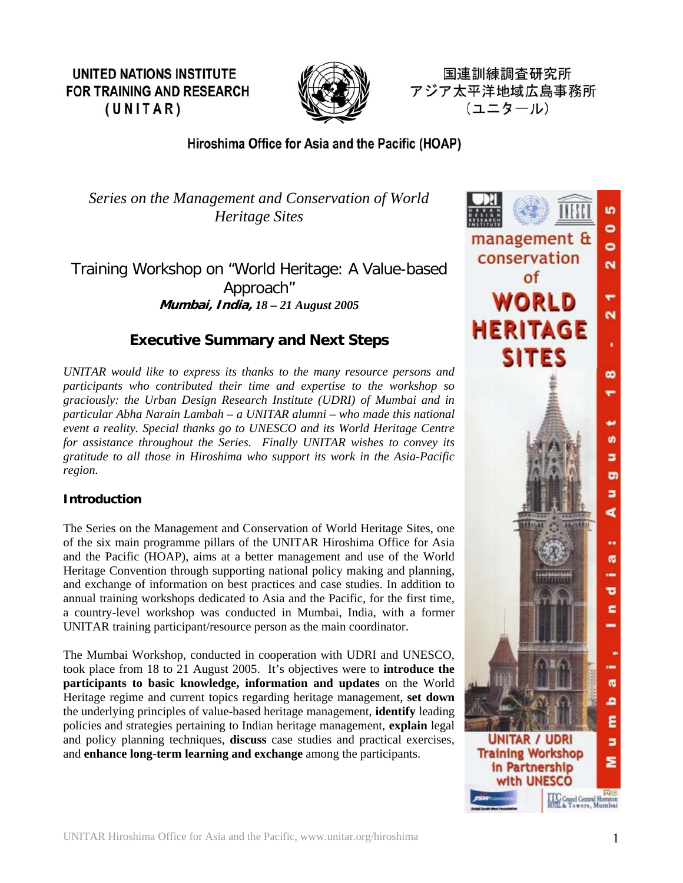**UNITED NATIONS INSTITUTE FOR TRAINING AND RESEARCH**  $(UNITAR)$ 



国連訓練調査研究所 アジア太平洋地域広島事務所 (ユニタール)

# Hiroshima Office for Asia and the Pacific (HOAP)

*Series on the Management and Conservation of World Heritage Sites* 

Training Workshop on "World Heritage: A Value-based Approach" **Mumbai, India,** *18 – 21 August 2005*

# **Executive Summary and Next Steps**

*UNITAR would like to express its thanks to the many resource persons and participants who contributed their time and expertise to the workshop so graciously: the Urban Design Research Institute (UDRI) of Mumbai and in particular Abha Narain Lambah – a UNITAR alumni – who made this national event a reality. Special thanks go to UNESCO and its World Heritage Centre for assistance throughout the Series. Finally UNITAR wishes to convey its gratitude to all those in Hiroshima who support its work in the Asia-Pacific region.* 

## **Introduction**

The Series on the Management and Conservation of World Heritage Sites, one of the six main programme pillars of the UNITAR Hiroshima Office for Asia and the Pacific (HOAP), aims at a better management and use of the World Heritage Convention through supporting national policy making and planning, and exchange of information on best practices and case studies. In addition to annual training workshops dedicated to Asia and the Pacific, for the first time, a country-level workshop was conducted in Mumbai, India, with a former UNITAR training participant/resource person as the main coordinator.

The Mumbai Workshop, conducted in cooperation with UDRI and UNESCO, took place from 18 to 21 August 2005. It's objectives were to **introduce the participants to basic knowledge, information and updates** on the World Heritage regime and current topics regarding heritage management, **set down** the underlying principles of value-based heritage management, **identify** leading policies and strategies pertaining to Indian heritage management, **explain** legal and policy planning techniques, **discuss** case studies and practical exercises, and **enhance long-term learning and exchange** among the participants.

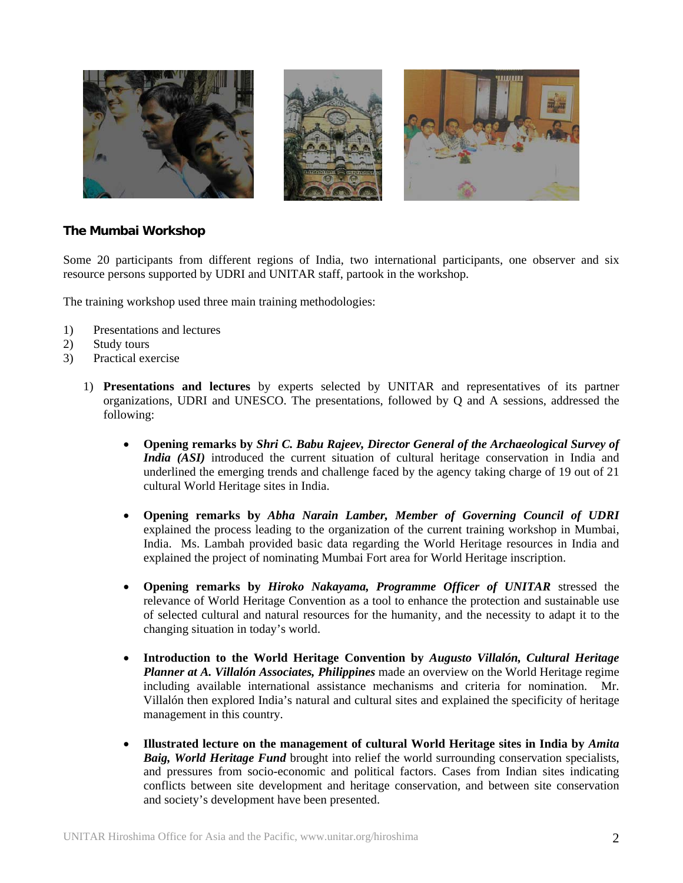

### **he Mumbai Workshop T**

Some 20 participants from different regions of India, two international participants, one observer and six resource persons supported by UDRI and UNITAR staff, partook in the workshop.

The training workshop used three main training methodologies:

- ) Presentations and lectures 1
- 2) Study tours
- 3) Practical exercise
	- 1) **Presentations and lectures** by experts selected by UNITAR and representatives of its partner organizations, UDRI and UNESCO. The presentations, followed by Q and A sessions, addressed the following:
		- Opening remarks by *Shri C. Babu Rajeev, Director General of the Archaeological Survey of India (ASI)* introduced the current situation of cultural heritage conservation in India and underlined the emerging trends and challenge faced by the agency taking charge of 19 out of 21 cultural World Heritage sites in India.
		- **Opening remarks by** *Abha Narain Lamber, Member of Governing Council of UDRI* • explained the process leading to the organization of the current training workshop in Mumbai, India. Ms. Lambah provided basic data regarding the World Heritage resources in India and explained the project of nominating Mumbai Fort area for World Heritage inscription.
		- **Opening remarks by** *Hiroko Nakayama, Programme Officer of UNITAR* stressed the relevance of World Heritage Convention as a tool to enhance the protection and sustainable use of selected cultural and natural resources for the humanity, and the necessity to adapt it to the changing situation in today's world.
		- **Introduction to the World Heritage Convention by** *Augusto Villalón, Cultural Heritage*  • *Planner at A. Villalón Associates, Philippines* made an overview on the World Heritage regime including available international assistance mechanisms and criteria for nomination. Mr. Villalón then explored India's natural and cultural sites and explained the specificity of heritage management in this country.
		- **Illustrated lecture on the management of cultural World Heritage sites in India by** *Amita*  • *Baig, World Heritage Fund* brought into relief the world surrounding conservation specialists, and pressures from socio-economic and political factors. Cases from Indian sites indicating conflicts between site development and heritage conservation, and between site conservation and society's development have been presented.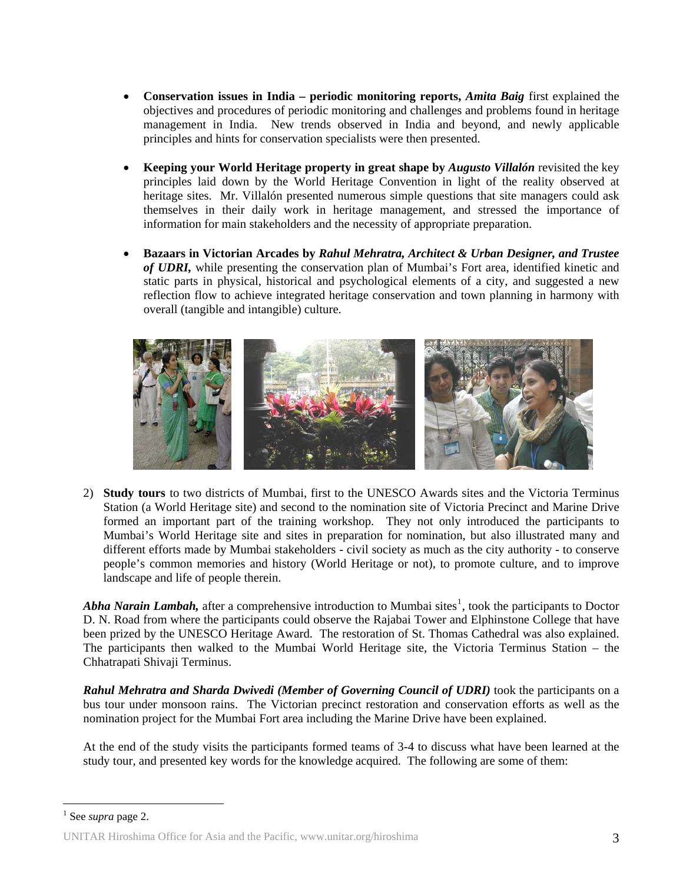- **Conservation issues in India periodic monitoring reports,** *Amita Baig* first explained the objectives and procedures of periodic monitoring and challenges and problems found in heritage management in India. New trends observed in India and beyond, and newly applicable principles and hints for conservation specialists were then presented.
- **Keeping your World Heritage property in great shape by** *Augusto Villalón* revisited the key principles laid down by the World Heritage Convention in light of the reality observed at heritage sites. Mr. Villalón presented numerous simple questions that site managers could ask themselves in their daily work in heritage management, and stressed the importance of information for main stakeholders and the necessity of appropriate preparation.
- **Bazaars in Victorian Arcades by** *Rahul Mehratra, Architect & Urban Designer, and Trustee of UDRI,* while presenting the conservation plan of Mumbai's Fort area, identified kinetic and static parts in physical, historical and psychological elements of a city, and suggested a new reflection flow to achieve integrated heritage conservation and town planning in harmony with overall (tangible and intangible) culture.



) **Study tours** to two districts of Mumbai, first to the UNESCO Awards sites and the Victoria Terminus 2 Station (a World Heritage site) and second to the nomination site of Victoria Precinct and Marine Drive formed an important part of the training workshop. They not only introduced the participants to Mumbai's World Heritage site and sites in preparation for nomination, but also illustrated many and different efforts made by Mumbai stakeholders - civil society as much as the city authority - to conserve people's common memories and history (World Heritage or not), to promote culture, and to improve landscape and life of people therein.

Abha Narain Lambah, after a comprehensive introduction to Mumbai sites<sup>1</sup>, took the participants to Doctor D. N. Road from where the participants could observe the Rajabai Tower and Elphinstone College that have been prized by the UNESCO Heritage Award. The restoration of St. Thomas Cathedral was also explained. The participants then walked to the Mumbai World Heritage site, the Victoria Terminus Station – the Chhatrapati Shivaji Terminus.

Rahul Mehratra and Sharda Dwivedi (Member of Governing Council of UDRI) took the participants on a bus tour under monsoon rains. The Victorian precinct restoration and conservation efforts as well as the nomination project for the Mumbai Fort area including the Marine Drive have been explained.

At the end of the study visits the participants formed teams of 3-4 to discuss what have been learned at the study tour, and presented key words for the knowledge acquired. The following are some of them:

 $\overline{a}$ 

<sup>1</sup> See *supra* page 2.

UNITAR Hiroshima Office for Asia and the Pacific, www.unitar.org/hiroshima 3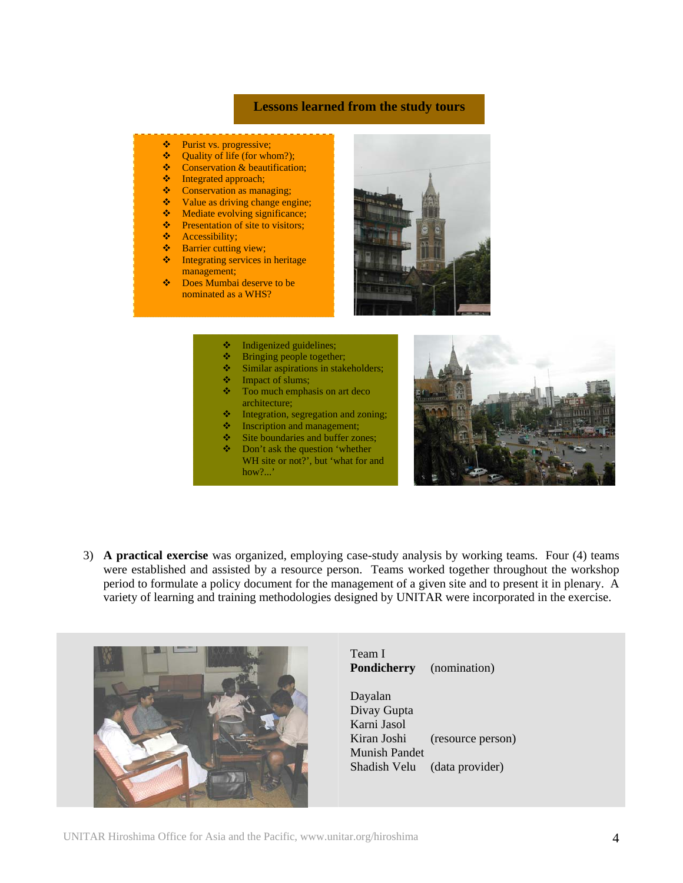## **Lessons learned from the study tours**

#### Purist vs. progressive;

- $\triangleleft$  Ouality of life (for whom?);
- Conservation & beautification;<br>• Integrated approach:
- $\bullet$  Integrated approach;<br> $\bullet$  Conservation as man
- Conservation as managing;<br>• Value as driving change ens
- $\bullet$  Value as driving change engine;<br>  $\bullet$  Mediate evolving significance;
- Mediate evolving significance;
- ❖ Presentation of site to visitors;
- **Accessibility;**
- **S** Barrier cutting view;
- $\bullet$  Integrating services in heritage management;
- Does Mumbai deserve to be nominated as a WHS?



- $\triangleleft$  Indigenized guidelines;
- Bringing people together;
- Similar aspirations in stakeholders;
- **\*** Impact of slums;
- $\triangleleft$  Too much emphasis on art deco architecture;
- **Integration, segregation and zoning;**
- $\bullet$  Inscription and management;
- Site boundaries and buffer zones;
- $\triangle$  Don't ask the question 'whether WH site or not?', but 'what for and how?...'



3) **A practical exercise** was organized, employing case-study analysis by working teams. Four (4) teams were established and assisted by a resource person. Teams worked together throughout the workshop period to formulate a policy document for the management of a given site and to present it in plenary. A variety of learning and training methodologies designed by UNITAR were incorporated in the exercise.



Team I **Pondicherry** (nomination)

Dayalan Divay Gupta Karni Jasol Kiran Joshi (resource person) Munish Pandet Shadish Velu (data provider)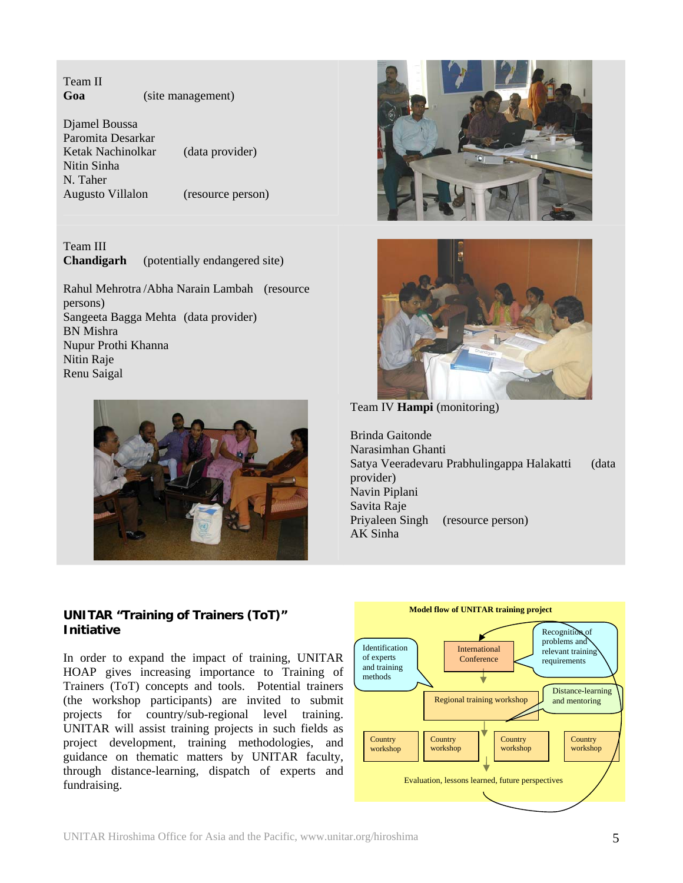Team II **Goa** (site management)

Djamel Boussa Paromita Desarkar Ketak Nachinolkar (data provider) Nitin Sinha N. Taher Augusto Villalon (resource person)

Team III **Chandigarh** (potentially endangered site)

Rahul Mehrotra /Abha Narain Lambah (resource persons) Sangeeta Bagga Mehta (data provider) BN Mishra Nupur Prothi Khanna Nitin Raje Renu Saigal







Team IV **Hampi** (monitoring)

Brinda Gaitonde Narasimhan Ghanti Satya Veeradevaru Prabhulingappa Halakatti (data provider) Navin Piplani Savita Raje Priyaleen Singh (resource person) AK Sinha

## **UNITAR "Training of Trainers (ToT)" Initiative**

In order to expand the impact of training, UNITAR HOAP gives increasing importance to Training of Trainers (ToT) concepts and tools. Potential trainers (the workshop participants) are invited to submit projects for country/sub-regional level training. UNITAR will assist training projects in such fields as project development, training methodologies, and guidance on thematic matters by UNITAR faculty, through distance-learning, dispatch of experts and fundraising.